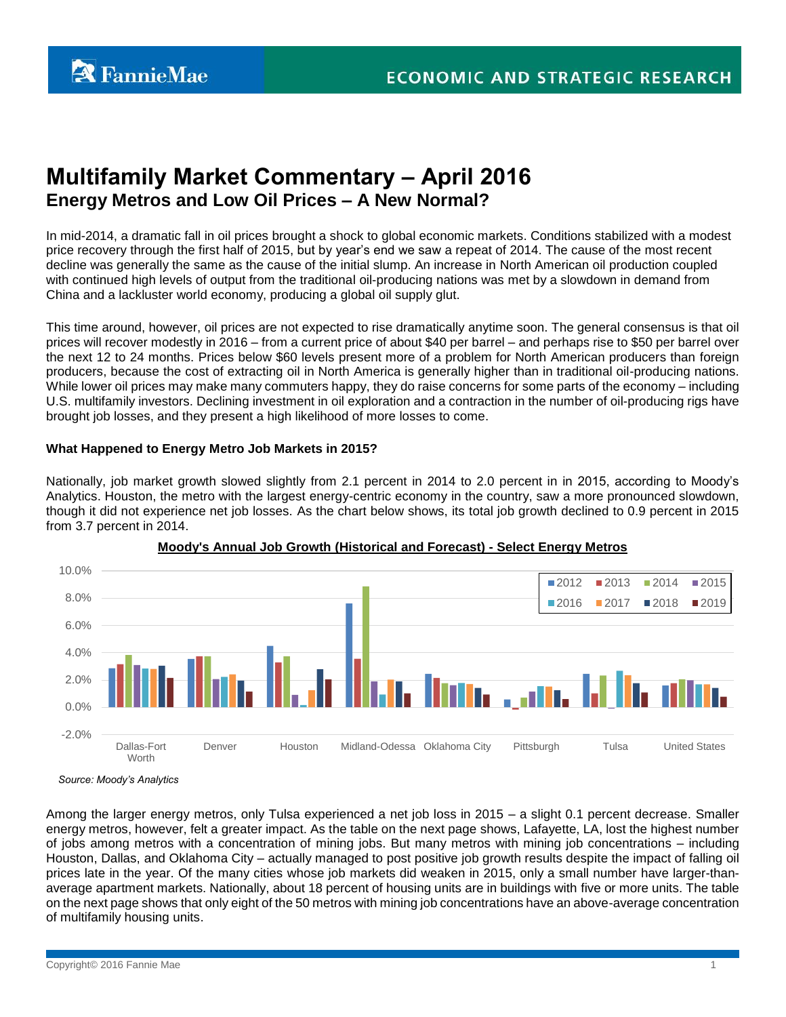# **Multifamily Market Commentary – April 2016 Energy Metros and Low Oil Prices – A New Normal?**

In mid-2014, a dramatic fall in oil prices brought a shock to global economic markets. Conditions stabilized with a modest price recovery through the first half of 2015, but by year's end we saw a repeat of 2014. The cause of the most recent decline was generally the same as the cause of the initial slump. An increase in North American oil production coupled with continued high levels of output from the traditional oil-producing nations was met by a slowdown in demand from China and a lackluster world economy, producing a global oil supply glut.

This time around, however, oil prices are not expected to rise dramatically anytime soon. The general consensus is that oil prices will recover modestly in 2016 – from a current price of about \$40 per barrel – and perhaps rise to \$50 per barrel over the next 12 to 24 months. Prices below \$60 levels present more of a problem for North American producers than foreign producers, because the cost of extracting oil in North America is generally higher than in traditional oil-producing nations. While lower oil prices may make many commuters happy, they do raise concerns for some parts of the economy – including U.S. multifamily investors. Declining investment in oil exploration and a contraction in the number of oil-producing rigs have brought job losses, and they present a high likelihood of more losses to come.

## **What Happened to Energy Metro Job Markets in 2015?**

Nationally, job market growth slowed slightly from 2.1 percent in 2014 to 2.0 percent in in 2015, according to Moody's Analytics. Houston, the metro with the largest energy-centric economy in the country, saw a more pronounced slowdown, though it did not experience net job losses. As the chart below shows, its total job growth declined to 0.9 percent in 2015 from 3.7 percent in 2014.



# **Moody's Annual Job Growth (Historical and Forecast) - Select Energy Metros**

*Source: Moody's Analytics*

Among the larger energy metros, only Tulsa experienced a net job loss in 2015 – a slight 0.1 percent decrease. Smaller energy metros, however, felt a greater impact. As the table on the next page shows, Lafayette, LA, lost the highest number of jobs among metros with a concentration of mining jobs. But many metros with mining job concentrations – including Houston, Dallas, and Oklahoma City – actually managed to post positive job growth results despite the impact of falling oil prices late in the year. Of the many cities whose job markets did weaken in 2015, only a small number have larger-thanaverage apartment markets. Nationally, about 18 percent of housing units are in buildings with five or more units. The table on the next page shows that only eight of the 50 metros with mining job concentrations have an above-average concentration of multifamily housing units.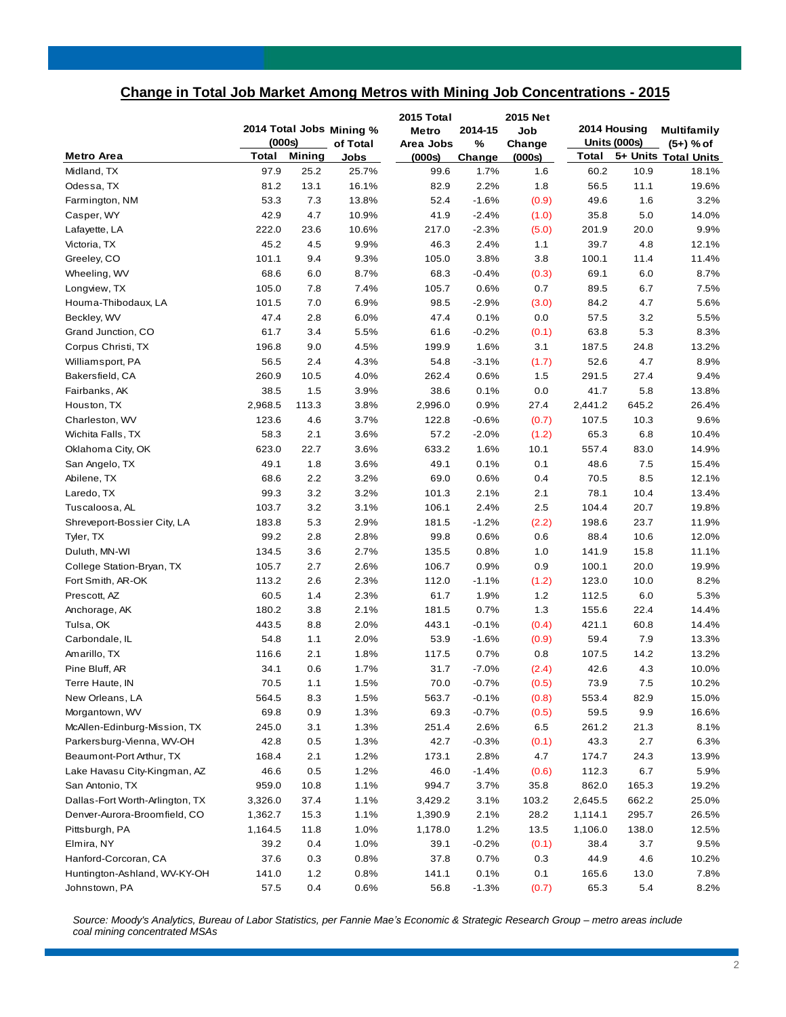# **Change in Total Job Market Among Metros with Mining Job Concentrations - 2015**

| <b>Total</b><br><b>Mining</b><br>5+ Units Total Units<br>Total<br>Metro Area<br>(000s)<br>(000s)<br>Jobs<br>Change<br>97.9<br>25.2<br>Midland, TX<br>25.7%<br>99.6<br>1.7%<br>1.6<br>60.2<br>10.9<br>18.1%<br>81.2<br>13.1<br>16.1%<br>82.9<br>2.2%<br>1.8<br>56.5<br>11.1<br>19.6%<br>Odessa, TX<br>53.3<br>13.8%<br>52.4<br>$-1.6%$<br>49.6<br>1.6<br>3.2%<br>Farmington, NM<br>7.3<br>(0.9)<br>Casper, WY<br>42.9<br>4.7<br>10.9%<br>41.9<br>$-2.4%$<br>35.8<br>5.0<br>14.0%<br>(1.0)<br>Lafayette, LA<br>222.0<br>23.6<br>10.6%<br>217.0<br>$-2.3%$<br>20.0<br>9.9%<br>(5.0)<br>201.9<br>45.2<br>Victoria, TX<br>4.5<br>9.9%<br>46.3<br>2.4%<br>39.7<br>4.8<br>12.1%<br>1.1<br>Greeley, CO<br>101.1<br>9.4<br>9.3%<br>105.0<br>3.8%<br>3.8<br>100.1<br>11.4%<br>11.4<br>68.6<br>8.7%<br>68.3<br>$-0.4%$<br>(0.3)<br>69.1<br>6.0<br>8.7%<br>Wheeling, WV<br>6.0<br>Longview, TX<br>105.0<br>7.8<br>7.4%<br>105.7<br>0.6%<br>0.7<br>89.5<br>6.7<br>7.5%<br>Houma-Thibodaux, LA<br>101.5<br>7.0<br>6.9%<br>98.5<br>$-2.9%$<br>84.2<br>4.7<br>5.6%<br>(3.0)<br>Beckley, WV<br>47.4<br>2.8<br>6.0%<br>47.4<br>0.1%<br>0.0<br>57.5<br>3.2<br>5.5%<br>Grand Junction, CO<br>61.7<br>3.4<br>5.5%<br>61.6<br>$-0.2%$<br>5.3<br>8.3%<br>(0.1)<br>63.8<br>196.8<br>9.0<br>4.5%<br>199.9<br>1.6%<br>3.1<br>24.8<br>13.2%<br>Corpus Christi, TX<br>187.5<br>8.9%<br>Williamsport, PA<br>56.5<br>2.4<br>4.3%<br>54.8<br>$-3.1%$<br>52.6<br>4.7<br>(1.7)<br>0.6%<br>Bakersfield, CA<br>260.9<br>10.5<br>4.0%<br>262.4<br>27.4<br>9.4%<br>1.5<br>291.5<br>38.5<br>1.5<br>3.9%<br>38.6<br>0.1%<br>0.0<br>41.7<br>5.8<br>13.8%<br>Fairbanks, AK<br>Houston, TX<br>2,968.5<br>113.3<br>3.8%<br>2,996.0<br>0.9%<br>27.4<br>2,441.2<br>645.2<br>26.4%<br>123.6<br>4.6<br>3.7%<br>122.8<br>$-0.6%$<br>107.5<br>10.3<br>9.6%<br>Charleston, WV<br>(0.7)<br>Wichita Falls, TX<br>58.3<br>2.1<br>3.6%<br>57.2<br>65.3<br>6.8<br>10.4%<br>$-2.0%$<br>(1.2)<br>Oklahoma City, OK<br>623.0<br>22.7<br>3.6%<br>633.2<br>1.6%<br>10.1<br>557.4<br>83.0<br>14.9%<br>49.1<br>1.8<br>3.6%<br>49.1<br>0.1%<br>0.1<br>48.6<br>$7.5\,$<br>15.4%<br>San Angelo, TX<br>68.6<br>3.2%<br>69.0<br>Abilene, TX<br>2.2<br>0.6%<br>0.4<br>70.5<br>8.5<br>12.1%<br>Laredo, TX<br>99.3<br>3.2<br>3.2%<br>101.3<br>2.1%<br>78.1<br>10.4<br>13.4%<br>2.1<br>Tuscaloosa, AL<br>103.7<br>3.2<br>3.1%<br>106.1<br>2.4%<br>2.5<br>104.4<br>20.7<br>19.8%<br>183.8<br>5.3<br>2.9%<br>181.5<br>$-1.2%$<br>198.6<br>23.7<br>11.9%<br>Shreveport-Bossier City, LA<br>(2.2)<br>99.2<br>2.8<br>2.8%<br>99.8<br>0.6%<br>0.6<br>88.4<br>10.6<br>12.0%<br>Tyler, TX<br>134.5<br>2.7%<br>0.8%<br>1.0<br>141.9<br>Duluth, MN-WI<br>3.6<br>135.5<br>15.8<br>11.1%<br>105.7<br>2.7<br>2.6%<br>106.7<br>0.9%<br>0.9<br>100.1<br>20.0<br>19.9%<br>College Station-Bryan, TX<br>Fort Smith, AR-OK<br>113.2<br>2.6<br>2.3%<br>112.0<br>$-1.1%$<br>123.0<br>10.0<br>8.2%<br>(1.2)<br>Prescott, AZ<br>60.5<br>1.4<br>2.3%<br>61.7<br>1.9%<br>$1.2$<br>6.0<br>5.3%<br>112.5<br>Anchorage, AK<br>180.2<br>3.8<br>2.1%<br>181.5<br>0.7%<br>1.3<br>155.6<br>22.4<br>14.4%<br>443.5<br>2.0%<br>$-0.1%$<br>60.8<br>Tulsa, OK<br>8.8<br>443.1<br>(0.4)<br>421.1<br>14.4%<br>54.8<br>1.1<br>2.0%<br>53.9<br>$-1.6%$<br>59.4<br>7.9<br>13.3%<br>Carbondale, IL<br>(0.9)<br>Amarillo, TX<br>116.6<br>2.1<br>1.8%<br>117.5<br>0.7%<br>107.5<br>14.2<br>13.2%<br>0.8 | 2014 Total Jobs Mining %<br>(000s) |  | of Total | 2015 Total<br><b>Metro</b><br>Area Jobs | 2014-15<br>% | 2015 Net<br>Job<br>Change | 2014 Housing<br><b>Units (000s)</b> |  | <b>Multifamily</b><br>$(5+)$ % of |
|---------------------------------------------------------------------------------------------------------------------------------------------------------------------------------------------------------------------------------------------------------------------------------------------------------------------------------------------------------------------------------------------------------------------------------------------------------------------------------------------------------------------------------------------------------------------------------------------------------------------------------------------------------------------------------------------------------------------------------------------------------------------------------------------------------------------------------------------------------------------------------------------------------------------------------------------------------------------------------------------------------------------------------------------------------------------------------------------------------------------------------------------------------------------------------------------------------------------------------------------------------------------------------------------------------------------------------------------------------------------------------------------------------------------------------------------------------------------------------------------------------------------------------------------------------------------------------------------------------------------------------------------------------------------------------------------------------------------------------------------------------------------------------------------------------------------------------------------------------------------------------------------------------------------------------------------------------------------------------------------------------------------------------------------------------------------------------------------------------------------------------------------------------------------------------------------------------------------------------------------------------------------------------------------------------------------------------------------------------------------------------------------------------------------------------------------------------------------------------------------------------------------------------------------------------------------------------------------------------------------------------------------------------------------------------------------------------------------------------------------------------------------------------------------------------------------------------------------------------------------------------------------------------------------------------------------------------------------------------------------------------------------------------------------------------------------------------------------------------------------------------------------------------------------------------------------------------------------------------------------------------------------------------------------------------------------------------------------------------------------------------------|------------------------------------|--|----------|-----------------------------------------|--------------|---------------------------|-------------------------------------|--|-----------------------------------|
|                                                                                                                                                                                                                                                                                                                                                                                                                                                                                                                                                                                                                                                                                                                                                                                                                                                                                                                                                                                                                                                                                                                                                                                                                                                                                                                                                                                                                                                                                                                                                                                                                                                                                                                                                                                                                                                                                                                                                                                                                                                                                                                                                                                                                                                                                                                                                                                                                                                                                                                                                                                                                                                                                                                                                                                                                                                                                                                                                                                                                                                                                                                                                                                                                                                                                                                                                                                       |                                    |  |          |                                         |              |                           |                                     |  |                                   |
|                                                                                                                                                                                                                                                                                                                                                                                                                                                                                                                                                                                                                                                                                                                                                                                                                                                                                                                                                                                                                                                                                                                                                                                                                                                                                                                                                                                                                                                                                                                                                                                                                                                                                                                                                                                                                                                                                                                                                                                                                                                                                                                                                                                                                                                                                                                                                                                                                                                                                                                                                                                                                                                                                                                                                                                                                                                                                                                                                                                                                                                                                                                                                                                                                                                                                                                                                                                       |                                    |  |          |                                         |              |                           |                                     |  |                                   |
|                                                                                                                                                                                                                                                                                                                                                                                                                                                                                                                                                                                                                                                                                                                                                                                                                                                                                                                                                                                                                                                                                                                                                                                                                                                                                                                                                                                                                                                                                                                                                                                                                                                                                                                                                                                                                                                                                                                                                                                                                                                                                                                                                                                                                                                                                                                                                                                                                                                                                                                                                                                                                                                                                                                                                                                                                                                                                                                                                                                                                                                                                                                                                                                                                                                                                                                                                                                       |                                    |  |          |                                         |              |                           |                                     |  |                                   |
|                                                                                                                                                                                                                                                                                                                                                                                                                                                                                                                                                                                                                                                                                                                                                                                                                                                                                                                                                                                                                                                                                                                                                                                                                                                                                                                                                                                                                                                                                                                                                                                                                                                                                                                                                                                                                                                                                                                                                                                                                                                                                                                                                                                                                                                                                                                                                                                                                                                                                                                                                                                                                                                                                                                                                                                                                                                                                                                                                                                                                                                                                                                                                                                                                                                                                                                                                                                       |                                    |  |          |                                         |              |                           |                                     |  |                                   |
|                                                                                                                                                                                                                                                                                                                                                                                                                                                                                                                                                                                                                                                                                                                                                                                                                                                                                                                                                                                                                                                                                                                                                                                                                                                                                                                                                                                                                                                                                                                                                                                                                                                                                                                                                                                                                                                                                                                                                                                                                                                                                                                                                                                                                                                                                                                                                                                                                                                                                                                                                                                                                                                                                                                                                                                                                                                                                                                                                                                                                                                                                                                                                                                                                                                                                                                                                                                       |                                    |  |          |                                         |              |                           |                                     |  |                                   |
|                                                                                                                                                                                                                                                                                                                                                                                                                                                                                                                                                                                                                                                                                                                                                                                                                                                                                                                                                                                                                                                                                                                                                                                                                                                                                                                                                                                                                                                                                                                                                                                                                                                                                                                                                                                                                                                                                                                                                                                                                                                                                                                                                                                                                                                                                                                                                                                                                                                                                                                                                                                                                                                                                                                                                                                                                                                                                                                                                                                                                                                                                                                                                                                                                                                                                                                                                                                       |                                    |  |          |                                         |              |                           |                                     |  |                                   |
|                                                                                                                                                                                                                                                                                                                                                                                                                                                                                                                                                                                                                                                                                                                                                                                                                                                                                                                                                                                                                                                                                                                                                                                                                                                                                                                                                                                                                                                                                                                                                                                                                                                                                                                                                                                                                                                                                                                                                                                                                                                                                                                                                                                                                                                                                                                                                                                                                                                                                                                                                                                                                                                                                                                                                                                                                                                                                                                                                                                                                                                                                                                                                                                                                                                                                                                                                                                       |                                    |  |          |                                         |              |                           |                                     |  |                                   |
|                                                                                                                                                                                                                                                                                                                                                                                                                                                                                                                                                                                                                                                                                                                                                                                                                                                                                                                                                                                                                                                                                                                                                                                                                                                                                                                                                                                                                                                                                                                                                                                                                                                                                                                                                                                                                                                                                                                                                                                                                                                                                                                                                                                                                                                                                                                                                                                                                                                                                                                                                                                                                                                                                                                                                                                                                                                                                                                                                                                                                                                                                                                                                                                                                                                                                                                                                                                       |                                    |  |          |                                         |              |                           |                                     |  |                                   |
|                                                                                                                                                                                                                                                                                                                                                                                                                                                                                                                                                                                                                                                                                                                                                                                                                                                                                                                                                                                                                                                                                                                                                                                                                                                                                                                                                                                                                                                                                                                                                                                                                                                                                                                                                                                                                                                                                                                                                                                                                                                                                                                                                                                                                                                                                                                                                                                                                                                                                                                                                                                                                                                                                                                                                                                                                                                                                                                                                                                                                                                                                                                                                                                                                                                                                                                                                                                       |                                    |  |          |                                         |              |                           |                                     |  |                                   |
|                                                                                                                                                                                                                                                                                                                                                                                                                                                                                                                                                                                                                                                                                                                                                                                                                                                                                                                                                                                                                                                                                                                                                                                                                                                                                                                                                                                                                                                                                                                                                                                                                                                                                                                                                                                                                                                                                                                                                                                                                                                                                                                                                                                                                                                                                                                                                                                                                                                                                                                                                                                                                                                                                                                                                                                                                                                                                                                                                                                                                                                                                                                                                                                                                                                                                                                                                                                       |                                    |  |          |                                         |              |                           |                                     |  |                                   |
|                                                                                                                                                                                                                                                                                                                                                                                                                                                                                                                                                                                                                                                                                                                                                                                                                                                                                                                                                                                                                                                                                                                                                                                                                                                                                                                                                                                                                                                                                                                                                                                                                                                                                                                                                                                                                                                                                                                                                                                                                                                                                                                                                                                                                                                                                                                                                                                                                                                                                                                                                                                                                                                                                                                                                                                                                                                                                                                                                                                                                                                                                                                                                                                                                                                                                                                                                                                       |                                    |  |          |                                         |              |                           |                                     |  |                                   |
|                                                                                                                                                                                                                                                                                                                                                                                                                                                                                                                                                                                                                                                                                                                                                                                                                                                                                                                                                                                                                                                                                                                                                                                                                                                                                                                                                                                                                                                                                                                                                                                                                                                                                                                                                                                                                                                                                                                                                                                                                                                                                                                                                                                                                                                                                                                                                                                                                                                                                                                                                                                                                                                                                                                                                                                                                                                                                                                                                                                                                                                                                                                                                                                                                                                                                                                                                                                       |                                    |  |          |                                         |              |                           |                                     |  |                                   |
|                                                                                                                                                                                                                                                                                                                                                                                                                                                                                                                                                                                                                                                                                                                                                                                                                                                                                                                                                                                                                                                                                                                                                                                                                                                                                                                                                                                                                                                                                                                                                                                                                                                                                                                                                                                                                                                                                                                                                                                                                                                                                                                                                                                                                                                                                                                                                                                                                                                                                                                                                                                                                                                                                                                                                                                                                                                                                                                                                                                                                                                                                                                                                                                                                                                                                                                                                                                       |                                    |  |          |                                         |              |                           |                                     |  |                                   |
|                                                                                                                                                                                                                                                                                                                                                                                                                                                                                                                                                                                                                                                                                                                                                                                                                                                                                                                                                                                                                                                                                                                                                                                                                                                                                                                                                                                                                                                                                                                                                                                                                                                                                                                                                                                                                                                                                                                                                                                                                                                                                                                                                                                                                                                                                                                                                                                                                                                                                                                                                                                                                                                                                                                                                                                                                                                                                                                                                                                                                                                                                                                                                                                                                                                                                                                                                                                       |                                    |  |          |                                         |              |                           |                                     |  |                                   |
|                                                                                                                                                                                                                                                                                                                                                                                                                                                                                                                                                                                                                                                                                                                                                                                                                                                                                                                                                                                                                                                                                                                                                                                                                                                                                                                                                                                                                                                                                                                                                                                                                                                                                                                                                                                                                                                                                                                                                                                                                                                                                                                                                                                                                                                                                                                                                                                                                                                                                                                                                                                                                                                                                                                                                                                                                                                                                                                                                                                                                                                                                                                                                                                                                                                                                                                                                                                       |                                    |  |          |                                         |              |                           |                                     |  |                                   |
|                                                                                                                                                                                                                                                                                                                                                                                                                                                                                                                                                                                                                                                                                                                                                                                                                                                                                                                                                                                                                                                                                                                                                                                                                                                                                                                                                                                                                                                                                                                                                                                                                                                                                                                                                                                                                                                                                                                                                                                                                                                                                                                                                                                                                                                                                                                                                                                                                                                                                                                                                                                                                                                                                                                                                                                                                                                                                                                                                                                                                                                                                                                                                                                                                                                                                                                                                                                       |                                    |  |          |                                         |              |                           |                                     |  |                                   |
|                                                                                                                                                                                                                                                                                                                                                                                                                                                                                                                                                                                                                                                                                                                                                                                                                                                                                                                                                                                                                                                                                                                                                                                                                                                                                                                                                                                                                                                                                                                                                                                                                                                                                                                                                                                                                                                                                                                                                                                                                                                                                                                                                                                                                                                                                                                                                                                                                                                                                                                                                                                                                                                                                                                                                                                                                                                                                                                                                                                                                                                                                                                                                                                                                                                                                                                                                                                       |                                    |  |          |                                         |              |                           |                                     |  |                                   |
|                                                                                                                                                                                                                                                                                                                                                                                                                                                                                                                                                                                                                                                                                                                                                                                                                                                                                                                                                                                                                                                                                                                                                                                                                                                                                                                                                                                                                                                                                                                                                                                                                                                                                                                                                                                                                                                                                                                                                                                                                                                                                                                                                                                                                                                                                                                                                                                                                                                                                                                                                                                                                                                                                                                                                                                                                                                                                                                                                                                                                                                                                                                                                                                                                                                                                                                                                                                       |                                    |  |          |                                         |              |                           |                                     |  |                                   |
|                                                                                                                                                                                                                                                                                                                                                                                                                                                                                                                                                                                                                                                                                                                                                                                                                                                                                                                                                                                                                                                                                                                                                                                                                                                                                                                                                                                                                                                                                                                                                                                                                                                                                                                                                                                                                                                                                                                                                                                                                                                                                                                                                                                                                                                                                                                                                                                                                                                                                                                                                                                                                                                                                                                                                                                                                                                                                                                                                                                                                                                                                                                                                                                                                                                                                                                                                                                       |                                    |  |          |                                         |              |                           |                                     |  |                                   |
|                                                                                                                                                                                                                                                                                                                                                                                                                                                                                                                                                                                                                                                                                                                                                                                                                                                                                                                                                                                                                                                                                                                                                                                                                                                                                                                                                                                                                                                                                                                                                                                                                                                                                                                                                                                                                                                                                                                                                                                                                                                                                                                                                                                                                                                                                                                                                                                                                                                                                                                                                                                                                                                                                                                                                                                                                                                                                                                                                                                                                                                                                                                                                                                                                                                                                                                                                                                       |                                    |  |          |                                         |              |                           |                                     |  |                                   |
|                                                                                                                                                                                                                                                                                                                                                                                                                                                                                                                                                                                                                                                                                                                                                                                                                                                                                                                                                                                                                                                                                                                                                                                                                                                                                                                                                                                                                                                                                                                                                                                                                                                                                                                                                                                                                                                                                                                                                                                                                                                                                                                                                                                                                                                                                                                                                                                                                                                                                                                                                                                                                                                                                                                                                                                                                                                                                                                                                                                                                                                                                                                                                                                                                                                                                                                                                                                       |                                    |  |          |                                         |              |                           |                                     |  |                                   |
|                                                                                                                                                                                                                                                                                                                                                                                                                                                                                                                                                                                                                                                                                                                                                                                                                                                                                                                                                                                                                                                                                                                                                                                                                                                                                                                                                                                                                                                                                                                                                                                                                                                                                                                                                                                                                                                                                                                                                                                                                                                                                                                                                                                                                                                                                                                                                                                                                                                                                                                                                                                                                                                                                                                                                                                                                                                                                                                                                                                                                                                                                                                                                                                                                                                                                                                                                                                       |                                    |  |          |                                         |              |                           |                                     |  |                                   |
|                                                                                                                                                                                                                                                                                                                                                                                                                                                                                                                                                                                                                                                                                                                                                                                                                                                                                                                                                                                                                                                                                                                                                                                                                                                                                                                                                                                                                                                                                                                                                                                                                                                                                                                                                                                                                                                                                                                                                                                                                                                                                                                                                                                                                                                                                                                                                                                                                                                                                                                                                                                                                                                                                                                                                                                                                                                                                                                                                                                                                                                                                                                                                                                                                                                                                                                                                                                       |                                    |  |          |                                         |              |                           |                                     |  |                                   |
|                                                                                                                                                                                                                                                                                                                                                                                                                                                                                                                                                                                                                                                                                                                                                                                                                                                                                                                                                                                                                                                                                                                                                                                                                                                                                                                                                                                                                                                                                                                                                                                                                                                                                                                                                                                                                                                                                                                                                                                                                                                                                                                                                                                                                                                                                                                                                                                                                                                                                                                                                                                                                                                                                                                                                                                                                                                                                                                                                                                                                                                                                                                                                                                                                                                                                                                                                                                       |                                    |  |          |                                         |              |                           |                                     |  |                                   |
|                                                                                                                                                                                                                                                                                                                                                                                                                                                                                                                                                                                                                                                                                                                                                                                                                                                                                                                                                                                                                                                                                                                                                                                                                                                                                                                                                                                                                                                                                                                                                                                                                                                                                                                                                                                                                                                                                                                                                                                                                                                                                                                                                                                                                                                                                                                                                                                                                                                                                                                                                                                                                                                                                                                                                                                                                                                                                                                                                                                                                                                                                                                                                                                                                                                                                                                                                                                       |                                    |  |          |                                         |              |                           |                                     |  |                                   |
|                                                                                                                                                                                                                                                                                                                                                                                                                                                                                                                                                                                                                                                                                                                                                                                                                                                                                                                                                                                                                                                                                                                                                                                                                                                                                                                                                                                                                                                                                                                                                                                                                                                                                                                                                                                                                                                                                                                                                                                                                                                                                                                                                                                                                                                                                                                                                                                                                                                                                                                                                                                                                                                                                                                                                                                                                                                                                                                                                                                                                                                                                                                                                                                                                                                                                                                                                                                       |                                    |  |          |                                         |              |                           |                                     |  |                                   |
|                                                                                                                                                                                                                                                                                                                                                                                                                                                                                                                                                                                                                                                                                                                                                                                                                                                                                                                                                                                                                                                                                                                                                                                                                                                                                                                                                                                                                                                                                                                                                                                                                                                                                                                                                                                                                                                                                                                                                                                                                                                                                                                                                                                                                                                                                                                                                                                                                                                                                                                                                                                                                                                                                                                                                                                                                                                                                                                                                                                                                                                                                                                                                                                                                                                                                                                                                                                       |                                    |  |          |                                         |              |                           |                                     |  |                                   |
|                                                                                                                                                                                                                                                                                                                                                                                                                                                                                                                                                                                                                                                                                                                                                                                                                                                                                                                                                                                                                                                                                                                                                                                                                                                                                                                                                                                                                                                                                                                                                                                                                                                                                                                                                                                                                                                                                                                                                                                                                                                                                                                                                                                                                                                                                                                                                                                                                                                                                                                                                                                                                                                                                                                                                                                                                                                                                                                                                                                                                                                                                                                                                                                                                                                                                                                                                                                       |                                    |  |          |                                         |              |                           |                                     |  |                                   |
|                                                                                                                                                                                                                                                                                                                                                                                                                                                                                                                                                                                                                                                                                                                                                                                                                                                                                                                                                                                                                                                                                                                                                                                                                                                                                                                                                                                                                                                                                                                                                                                                                                                                                                                                                                                                                                                                                                                                                                                                                                                                                                                                                                                                                                                                                                                                                                                                                                                                                                                                                                                                                                                                                                                                                                                                                                                                                                                                                                                                                                                                                                                                                                                                                                                                                                                                                                                       |                                    |  |          |                                         |              |                           |                                     |  |                                   |
|                                                                                                                                                                                                                                                                                                                                                                                                                                                                                                                                                                                                                                                                                                                                                                                                                                                                                                                                                                                                                                                                                                                                                                                                                                                                                                                                                                                                                                                                                                                                                                                                                                                                                                                                                                                                                                                                                                                                                                                                                                                                                                                                                                                                                                                                                                                                                                                                                                                                                                                                                                                                                                                                                                                                                                                                                                                                                                                                                                                                                                                                                                                                                                                                                                                                                                                                                                                       |                                    |  |          |                                         |              |                           |                                     |  |                                   |
|                                                                                                                                                                                                                                                                                                                                                                                                                                                                                                                                                                                                                                                                                                                                                                                                                                                                                                                                                                                                                                                                                                                                                                                                                                                                                                                                                                                                                                                                                                                                                                                                                                                                                                                                                                                                                                                                                                                                                                                                                                                                                                                                                                                                                                                                                                                                                                                                                                                                                                                                                                                                                                                                                                                                                                                                                                                                                                                                                                                                                                                                                                                                                                                                                                                                                                                                                                                       |                                    |  |          |                                         |              |                           |                                     |  |                                   |
|                                                                                                                                                                                                                                                                                                                                                                                                                                                                                                                                                                                                                                                                                                                                                                                                                                                                                                                                                                                                                                                                                                                                                                                                                                                                                                                                                                                                                                                                                                                                                                                                                                                                                                                                                                                                                                                                                                                                                                                                                                                                                                                                                                                                                                                                                                                                                                                                                                                                                                                                                                                                                                                                                                                                                                                                                                                                                                                                                                                                                                                                                                                                                                                                                                                                                                                                                                                       |                                    |  |          |                                         |              |                           |                                     |  |                                   |
|                                                                                                                                                                                                                                                                                                                                                                                                                                                                                                                                                                                                                                                                                                                                                                                                                                                                                                                                                                                                                                                                                                                                                                                                                                                                                                                                                                                                                                                                                                                                                                                                                                                                                                                                                                                                                                                                                                                                                                                                                                                                                                                                                                                                                                                                                                                                                                                                                                                                                                                                                                                                                                                                                                                                                                                                                                                                                                                                                                                                                                                                                                                                                                                                                                                                                                                                                                                       |                                    |  |          |                                         |              |                           |                                     |  |                                   |
|                                                                                                                                                                                                                                                                                                                                                                                                                                                                                                                                                                                                                                                                                                                                                                                                                                                                                                                                                                                                                                                                                                                                                                                                                                                                                                                                                                                                                                                                                                                                                                                                                                                                                                                                                                                                                                                                                                                                                                                                                                                                                                                                                                                                                                                                                                                                                                                                                                                                                                                                                                                                                                                                                                                                                                                                                                                                                                                                                                                                                                                                                                                                                                                                                                                                                                                                                                                       |                                    |  |          |                                         |              |                           |                                     |  |                                   |
|                                                                                                                                                                                                                                                                                                                                                                                                                                                                                                                                                                                                                                                                                                                                                                                                                                                                                                                                                                                                                                                                                                                                                                                                                                                                                                                                                                                                                                                                                                                                                                                                                                                                                                                                                                                                                                                                                                                                                                                                                                                                                                                                                                                                                                                                                                                                                                                                                                                                                                                                                                                                                                                                                                                                                                                                                                                                                                                                                                                                                                                                                                                                                                                                                                                                                                                                                                                       |                                    |  |          |                                         |              |                           |                                     |  |                                   |
| 34.1<br>Pine Bluff, AR<br>0.6<br>1.7%<br>31.7<br>$-7.0%$<br>42.6<br>4.3<br>10.0%<br>(2.4)                                                                                                                                                                                                                                                                                                                                                                                                                                                                                                                                                                                                                                                                                                                                                                                                                                                                                                                                                                                                                                                                                                                                                                                                                                                                                                                                                                                                                                                                                                                                                                                                                                                                                                                                                                                                                                                                                                                                                                                                                                                                                                                                                                                                                                                                                                                                                                                                                                                                                                                                                                                                                                                                                                                                                                                                                                                                                                                                                                                                                                                                                                                                                                                                                                                                                             |                                    |  |          |                                         |              |                           |                                     |  |                                   |
| 70.5<br>1.5%<br>$-0.7%$<br>73.9<br>$7.5\,$<br>10.2%<br>Terre Haute, IN<br>1.1<br>70.0<br>(0.5)                                                                                                                                                                                                                                                                                                                                                                                                                                                                                                                                                                                                                                                                                                                                                                                                                                                                                                                                                                                                                                                                                                                                                                                                                                                                                                                                                                                                                                                                                                                                                                                                                                                                                                                                                                                                                                                                                                                                                                                                                                                                                                                                                                                                                                                                                                                                                                                                                                                                                                                                                                                                                                                                                                                                                                                                                                                                                                                                                                                                                                                                                                                                                                                                                                                                                        |                                    |  |          |                                         |              |                           |                                     |  |                                   |
| 564.5<br>8.3<br>1.5%<br>563.7<br>$-0.1%$<br>553.4<br>82.9<br>15.0%<br>New Orleans, LA<br>(0.8)                                                                                                                                                                                                                                                                                                                                                                                                                                                                                                                                                                                                                                                                                                                                                                                                                                                                                                                                                                                                                                                                                                                                                                                                                                                                                                                                                                                                                                                                                                                                                                                                                                                                                                                                                                                                                                                                                                                                                                                                                                                                                                                                                                                                                                                                                                                                                                                                                                                                                                                                                                                                                                                                                                                                                                                                                                                                                                                                                                                                                                                                                                                                                                                                                                                                                        |                                    |  |          |                                         |              |                           |                                     |  |                                   |
| 69.8<br>1.3%<br>$9.9\,$<br>Morgantown, WV<br>0.9<br>69.3<br>$-0.7%$<br>(0.5)<br>59.5<br>16.6%                                                                                                                                                                                                                                                                                                                                                                                                                                                                                                                                                                                                                                                                                                                                                                                                                                                                                                                                                                                                                                                                                                                                                                                                                                                                                                                                                                                                                                                                                                                                                                                                                                                                                                                                                                                                                                                                                                                                                                                                                                                                                                                                                                                                                                                                                                                                                                                                                                                                                                                                                                                                                                                                                                                                                                                                                                                                                                                                                                                                                                                                                                                                                                                                                                                                                         |                                    |  |          |                                         |              |                           |                                     |  |                                   |
| McAllen-Edinburg-Mission, TX<br>245.0<br>3.1<br>1.3%<br>251.4<br>2.6%<br>6.5<br>261.2<br>21.3<br>8.1%                                                                                                                                                                                                                                                                                                                                                                                                                                                                                                                                                                                                                                                                                                                                                                                                                                                                                                                                                                                                                                                                                                                                                                                                                                                                                                                                                                                                                                                                                                                                                                                                                                                                                                                                                                                                                                                                                                                                                                                                                                                                                                                                                                                                                                                                                                                                                                                                                                                                                                                                                                                                                                                                                                                                                                                                                                                                                                                                                                                                                                                                                                                                                                                                                                                                                 |                                    |  |          |                                         |              |                           |                                     |  |                                   |
| $2.7\,$<br>Parkersburg-Vienna, WV-OH<br>42.8<br>$0.5\,$<br>1.3%<br>42.7<br>43.3<br>$-0.3%$<br>(0.1)<br>6.3%                                                                                                                                                                                                                                                                                                                                                                                                                                                                                                                                                                                                                                                                                                                                                                                                                                                                                                                                                                                                                                                                                                                                                                                                                                                                                                                                                                                                                                                                                                                                                                                                                                                                                                                                                                                                                                                                                                                                                                                                                                                                                                                                                                                                                                                                                                                                                                                                                                                                                                                                                                                                                                                                                                                                                                                                                                                                                                                                                                                                                                                                                                                                                                                                                                                                           |                                    |  |          |                                         |              |                           |                                     |  |                                   |
| Beaumont-Port Arthur, TX<br>168.4<br>2.1<br>1.2%<br>173.1<br>2.8%<br>4.7<br>24.3<br>13.9%<br>174.7                                                                                                                                                                                                                                                                                                                                                                                                                                                                                                                                                                                                                                                                                                                                                                                                                                                                                                                                                                                                                                                                                                                                                                                                                                                                                                                                                                                                                                                                                                                                                                                                                                                                                                                                                                                                                                                                                                                                                                                                                                                                                                                                                                                                                                                                                                                                                                                                                                                                                                                                                                                                                                                                                                                                                                                                                                                                                                                                                                                                                                                                                                                                                                                                                                                                                    |                                    |  |          |                                         |              |                           |                                     |  |                                   |
| 46.6<br>0.5<br>1.2%<br>112.3<br>6.7<br>5.9%<br>Lake Havasu City-Kingman, AZ<br>46.0<br>$-1.4%$<br>(0.6)                                                                                                                                                                                                                                                                                                                                                                                                                                                                                                                                                                                                                                                                                                                                                                                                                                                                                                                                                                                                                                                                                                                                                                                                                                                                                                                                                                                                                                                                                                                                                                                                                                                                                                                                                                                                                                                                                                                                                                                                                                                                                                                                                                                                                                                                                                                                                                                                                                                                                                                                                                                                                                                                                                                                                                                                                                                                                                                                                                                                                                                                                                                                                                                                                                                                               |                                    |  |          |                                         |              |                           |                                     |  |                                   |
| 994.7<br>959.0<br>10.8<br>1.1%<br>3.7%<br>862.0<br>165.3<br>19.2%<br>San Antonio, TX<br>35.8                                                                                                                                                                                                                                                                                                                                                                                                                                                                                                                                                                                                                                                                                                                                                                                                                                                                                                                                                                                                                                                                                                                                                                                                                                                                                                                                                                                                                                                                                                                                                                                                                                                                                                                                                                                                                                                                                                                                                                                                                                                                                                                                                                                                                                                                                                                                                                                                                                                                                                                                                                                                                                                                                                                                                                                                                                                                                                                                                                                                                                                                                                                                                                                                                                                                                          |                                    |  |          |                                         |              |                           |                                     |  |                                   |
| Dallas-Fort Worth-Arlington, TX<br>3,326.0<br>37.4<br>1.1%<br>3,429.2<br>3.1%<br>2,645.5<br>662.2<br>25.0%<br>103.2                                                                                                                                                                                                                                                                                                                                                                                                                                                                                                                                                                                                                                                                                                                                                                                                                                                                                                                                                                                                                                                                                                                                                                                                                                                                                                                                                                                                                                                                                                                                                                                                                                                                                                                                                                                                                                                                                                                                                                                                                                                                                                                                                                                                                                                                                                                                                                                                                                                                                                                                                                                                                                                                                                                                                                                                                                                                                                                                                                                                                                                                                                                                                                                                                                                                   |                                    |  |          |                                         |              |                           |                                     |  |                                   |
| Denver-Aurora-Broomfield, CO<br>15.3<br>1.1%<br>2.1%<br>28.2<br>1,114.1<br>295.7<br>26.5%<br>1,362.7<br>1,390.9                                                                                                                                                                                                                                                                                                                                                                                                                                                                                                                                                                                                                                                                                                                                                                                                                                                                                                                                                                                                                                                                                                                                                                                                                                                                                                                                                                                                                                                                                                                                                                                                                                                                                                                                                                                                                                                                                                                                                                                                                                                                                                                                                                                                                                                                                                                                                                                                                                                                                                                                                                                                                                                                                                                                                                                                                                                                                                                                                                                                                                                                                                                                                                                                                                                                       |                                    |  |          |                                         |              |                           |                                     |  |                                   |
| Pittsburgh, PA<br>11.8<br>1.0%<br>1,178.0<br>1.2%<br>13.5<br>1,106.0<br>138.0<br>12.5%<br>1,164.5                                                                                                                                                                                                                                                                                                                                                                                                                                                                                                                                                                                                                                                                                                                                                                                                                                                                                                                                                                                                                                                                                                                                                                                                                                                                                                                                                                                                                                                                                                                                                                                                                                                                                                                                                                                                                                                                                                                                                                                                                                                                                                                                                                                                                                                                                                                                                                                                                                                                                                                                                                                                                                                                                                                                                                                                                                                                                                                                                                                                                                                                                                                                                                                                                                                                                     |                                    |  |          |                                         |              |                           |                                     |  |                                   |
| Elmira, NY<br>1.0%<br>3.7<br>39.2<br>0.4<br>39.1<br>$-0.2%$<br>(0.1)<br>38.4<br>9.5%                                                                                                                                                                                                                                                                                                                                                                                                                                                                                                                                                                                                                                                                                                                                                                                                                                                                                                                                                                                                                                                                                                                                                                                                                                                                                                                                                                                                                                                                                                                                                                                                                                                                                                                                                                                                                                                                                                                                                                                                                                                                                                                                                                                                                                                                                                                                                                                                                                                                                                                                                                                                                                                                                                                                                                                                                                                                                                                                                                                                                                                                                                                                                                                                                                                                                                  |                                    |  |          |                                         |              |                           |                                     |  |                                   |
| Hanford-Corcoran, CA<br>37.6<br>0.8%<br>37.8<br>0.7%<br>0.3<br>44.9<br>4.6<br>0.3<br>10.2%                                                                                                                                                                                                                                                                                                                                                                                                                                                                                                                                                                                                                                                                                                                                                                                                                                                                                                                                                                                                                                                                                                                                                                                                                                                                                                                                                                                                                                                                                                                                                                                                                                                                                                                                                                                                                                                                                                                                                                                                                                                                                                                                                                                                                                                                                                                                                                                                                                                                                                                                                                                                                                                                                                                                                                                                                                                                                                                                                                                                                                                                                                                                                                                                                                                                                            |                                    |  |          |                                         |              |                           |                                     |  |                                   |
| Huntington-Ashland, WV-KY-OH<br>1.2<br>0.8%<br>141.1<br>0.1%<br>0.1<br>13.0<br>141.0<br>165.6<br>7.8%                                                                                                                                                                                                                                                                                                                                                                                                                                                                                                                                                                                                                                                                                                                                                                                                                                                                                                                                                                                                                                                                                                                                                                                                                                                                                                                                                                                                                                                                                                                                                                                                                                                                                                                                                                                                                                                                                                                                                                                                                                                                                                                                                                                                                                                                                                                                                                                                                                                                                                                                                                                                                                                                                                                                                                                                                                                                                                                                                                                                                                                                                                                                                                                                                                                                                 |                                    |  |          |                                         |              |                           |                                     |  |                                   |
| Johnstown, PA<br>57.5<br>0.4<br>0.6%<br>56.8<br>$-1.3%$<br>(0.7)<br>65.3<br>5.4<br>8.2%                                                                                                                                                                                                                                                                                                                                                                                                                                                                                                                                                                                                                                                                                                                                                                                                                                                                                                                                                                                                                                                                                                                                                                                                                                                                                                                                                                                                                                                                                                                                                                                                                                                                                                                                                                                                                                                                                                                                                                                                                                                                                                                                                                                                                                                                                                                                                                                                                                                                                                                                                                                                                                                                                                                                                                                                                                                                                                                                                                                                                                                                                                                                                                                                                                                                                               |                                    |  |          |                                         |              |                           |                                     |  |                                   |

*Source: Moody's Analytics, Bureau of Labor Statistics, per Fannie Mae's Economic & Strategic Research Group – metro areas include coal mining concentrated MSAs*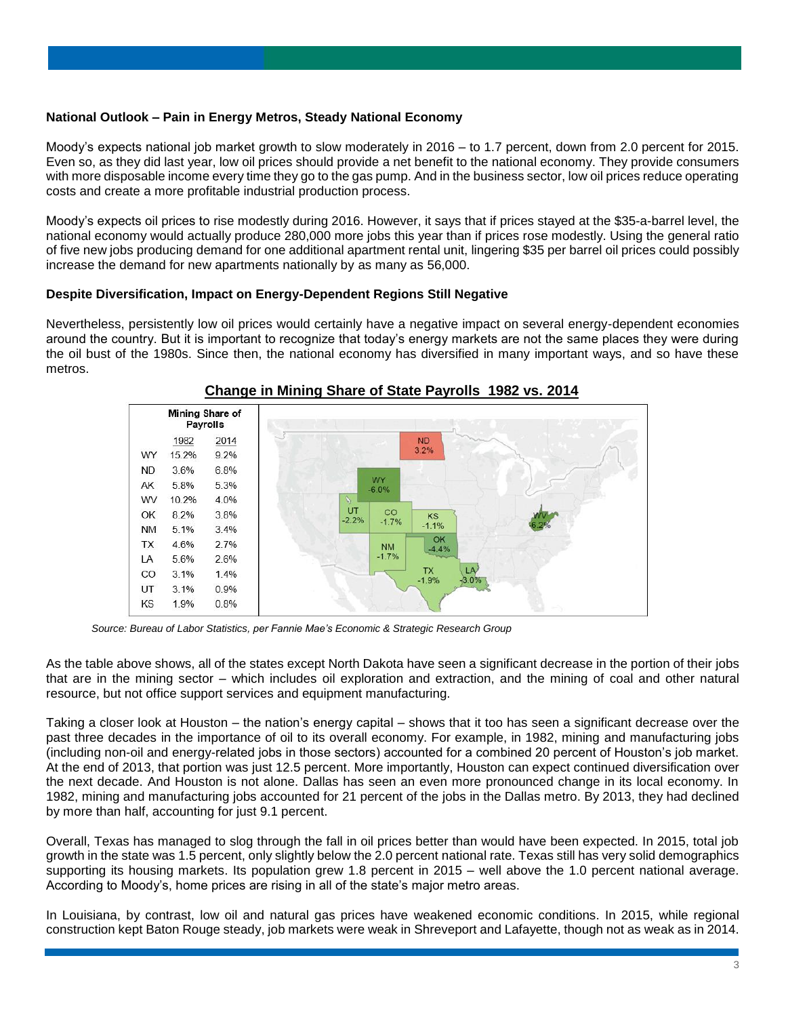# **National Outlook – Pain in Energy Metros, Steady National Economy**

Moody's expects national job market growth to slow moderately in 2016 – to 1.7 percent, down from 2.0 percent for 2015. Even so, as they did last year, low oil prices should provide a net benefit to the national economy. They provide consumers with more disposable income every time they go to the gas pump. And in the business sector, low oil prices reduce operating costs and create a more profitable industrial production process.

Moody's expects oil prices to rise modestly during 2016. However, it says that if prices stayed at the \$35-a-barrel level, the national economy would actually produce 280,000 more jobs this year than if prices rose modestly. Using the general ratio of five new jobs producing demand for one additional apartment rental unit, lingering \$35 per barrel oil prices could possibly increase the demand for new apartments nationally by as many as 56,000.

# **Despite Diversification, Impact on Energy-Dependent Regions Still Negative**

Nevertheless, persistently low oil prices would certainly have a negative impact on several energy-dependent economies around the country. But it is important to recognize that today's energy markets are not the same places they were during the oil bust of the 1980s. Since then, the national economy has diversified in many important ways, and so have these metros.



# **Change in Mining Share of State Payrolls 1982 vs. 2014**

*Source: Bureau of Labor Statistics, per Fannie Mae's Economic & Strategic Research Group*

As the table above shows, all of the states except North Dakota have seen a significant decrease in the portion of their jobs that are in the mining sector – which includes oil exploration and extraction, and the mining of coal and other natural resource, but not office support services and equipment manufacturing.

Taking a closer look at Houston – the nation's energy capital – shows that it too has seen a significant decrease over the past three decades in the importance of oil to its overall economy. For example, in 1982, mining and manufacturing jobs (including non-oil and energy-related jobs in those sectors) accounted for a combined 20 percent of Houston's job market. At the end of 2013, that portion was just 12.5 percent. More importantly, Houston can expect continued diversification over the next decade. And Houston is not alone. Dallas has seen an even more pronounced change in its local economy. In 1982, mining and manufacturing jobs accounted for 21 percent of the jobs in the Dallas metro. By 2013, they had declined by more than half, accounting for just 9.1 percent.

Overall, Texas has managed to slog through the fall in oil prices better than would have been expected. In 2015, total job growth in the state was 1.5 percent, only slightly below the 2.0 percent national rate. Texas still has very solid demographics supporting its housing markets. Its population grew 1.8 percent in 2015 – well above the 1.0 percent national average. According to Moody's, home prices are rising in all of the state's major metro areas.

In Louisiana, by contrast, low oil and natural gas prices have weakened economic conditions. In 2015, while regional construction kept Baton Rouge steady, job markets were weak in Shreveport and Lafayette, though not as weak as in 2014.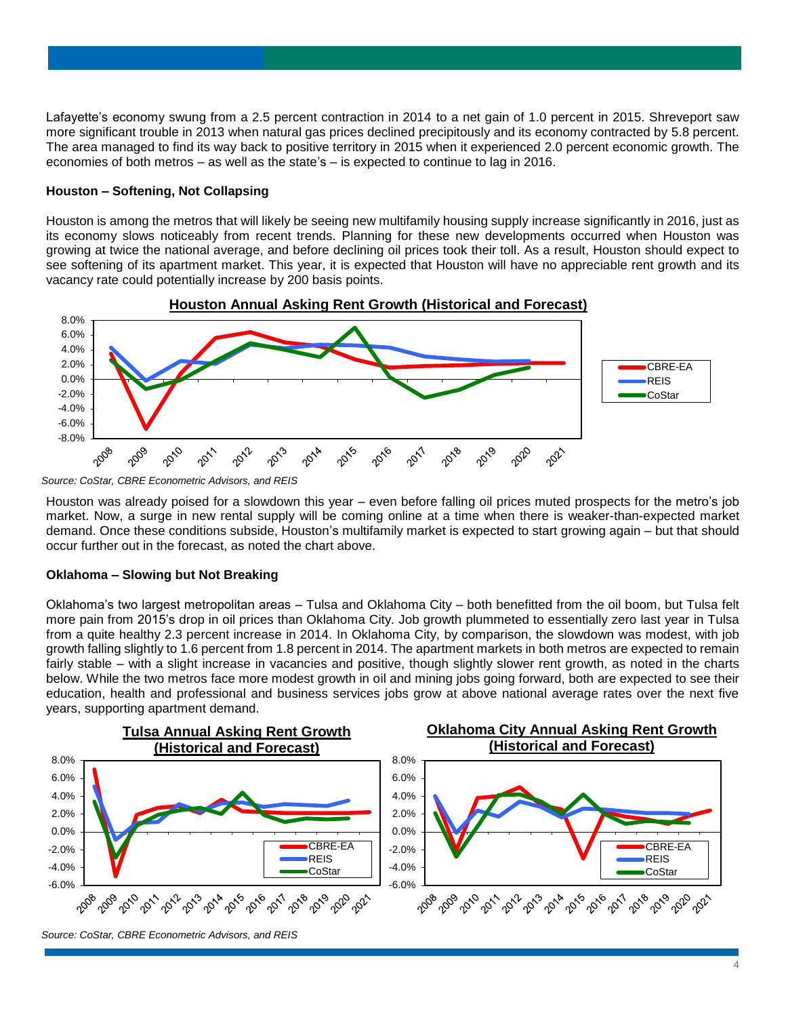Lafayette's economy swung from a 2.5 percent contraction in 2014 to a net gain of 1.0 percent in 2015. Shreveport saw more significant trouble in 2013 when natural gas prices declined precipitously and its economy contracted by 5.8 percent. The area managed to find its way back to positive territory in 2015 when it experienced 2.0 percent economic growth. The economies of both metros – as well as the state's – is expected to continue to lag in 2016.

## **Houston – Softening, Not Collapsing**

Houston is among the metros that will likely be seeing new multifamily housing supply increase significantly in 2016, just as its economy slows noticeably from recent trends. Planning for these new developments occurred when Houston was growing at twice the national average, and before declining oil prices took their toll. As a result, Houston should expect to see softening of its apartment market. This year, it is expected that Houston will have no appreciable rent growth and its vacancy rate could potentially increase by 200 basis points.



*Source: CoStar, CBRE Econometric Advisors, and REIS*

Houston was already poised for a slowdown this year – even before falling oil prices muted prospects for the metro's job market. Now, a surge in new rental supply will be coming online at a time when there is weaker-than-expected market demand. Once these conditions subside, Houston's multifamily market is expected to start growing again – but that should occur further out in the forecast, as noted the chart above.

#### **Oklahoma – Slowing but Not Breaking**

Oklahoma's two largest metropolitan areas – Tulsa and Oklahoma City – both benefitted from the oil boom, but Tulsa felt more pain from 2015's drop in oil prices than Oklahoma City. Job growth plummeted to essentially zero last year in Tulsa from a quite healthy 2.3 percent increase in 2014. In Oklahoma City, by comparison, the slowdown was modest, with job growth falling slightly to 1.6 percent from 1.8 percent in 2014. The apartment markets in both metros are expected to remain fairly stable – with a slight increase in vacancies and positive, though slightly slower rent growth, as noted in the charts below. While the two metros face more modest growth in oil and mining jobs going forward, both are expected to see their education, health and professional and business services jobs grow at above national average rates over the next five years, supporting apartment demand.

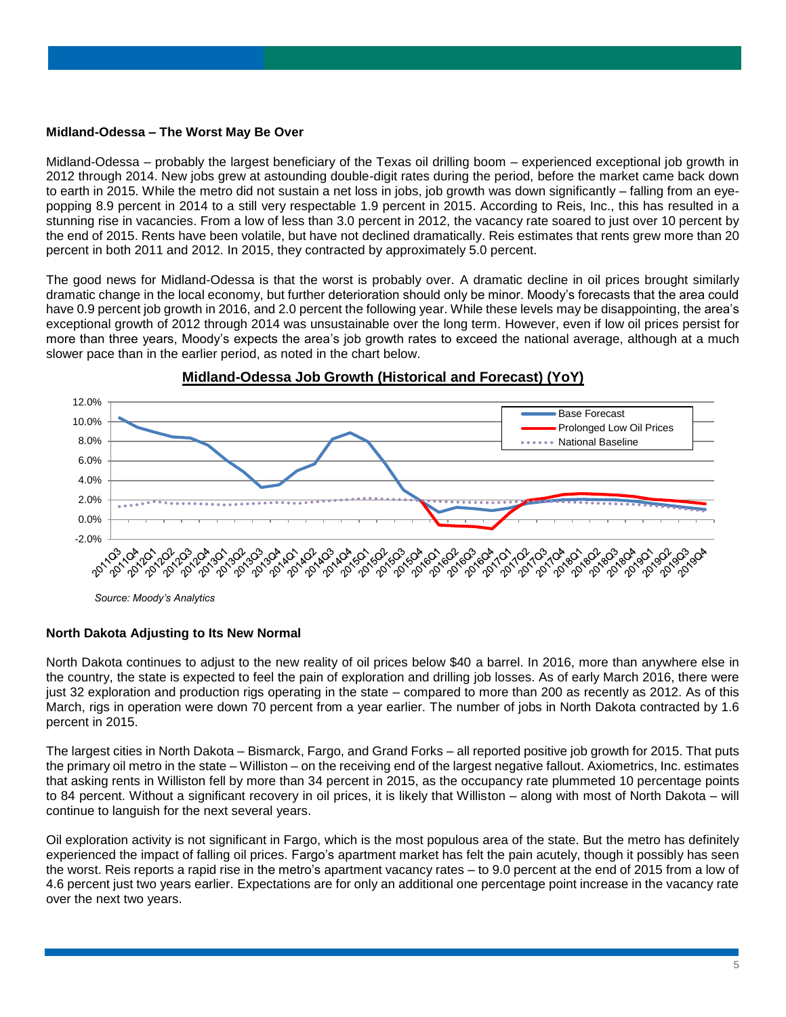#### **Midland-Odessa – The Worst May Be Over**

Midland-Odessa – probably the largest beneficiary of the Texas oil drilling boom – experienced exceptional job growth in 2012 through 2014. New jobs grew at astounding double-digit rates during the period, before the market came back down to earth in 2015. While the metro did not sustain a net loss in jobs, job growth was down significantly – falling from an eyepopping 8.9 percent in 2014 to a still very respectable 1.9 percent in 2015. According to Reis, Inc., this has resulted in a stunning rise in vacancies. From a low of less than 3.0 percent in 2012, the vacancy rate soared to just over 10 percent by the end of 2015. Rents have been volatile, but have not declined dramatically. Reis estimates that rents grew more than 20 percent in both 2011 and 2012. In 2015, they contracted by approximately 5.0 percent.

The good news for Midland-Odessa is that the worst is probably over. A dramatic decline in oil prices brought similarly dramatic change in the local economy, but further deterioration should only be minor. Moody's forecasts that the area could have 0.9 percent job growth in 2016, and 2.0 percent the following year. While these levels may be disappointing, the area's exceptional growth of 2012 through 2014 was unsustainable over the long term. However, even if low oil prices persist for more than three years, Moody's expects the area's job growth rates to exceed the national average, although at a much slower pace than in the earlier period, as noted in the chart below.



# **Midland-Odessa Job Growth (Historical and Forecast) (YoY)**

*Source: Moody's Analytics*

#### **North Dakota Adjusting to Its New Normal**

North Dakota continues to adjust to the new reality of oil prices below \$40 a barrel. In 2016, more than anywhere else in the country, the state is expected to feel the pain of exploration and drilling job losses. As of early March 2016, there were just 32 exploration and production rigs operating in the state – compared to more than 200 as recently as 2012. As of this March, rigs in operation were down 70 percent from a year earlier. The number of jobs in North Dakota contracted by 1.6 percent in 2015.

The largest cities in North Dakota – Bismarck, Fargo, and Grand Forks – all reported positive job growth for 2015. That puts the primary oil metro in the state – Williston – on the receiving end of the largest negative fallout. Axiometrics, Inc. estimates that asking rents in Williston fell by more than 34 percent in 2015, as the occupancy rate plummeted 10 percentage points to 84 percent. Without a significant recovery in oil prices, it is likely that Williston – along with most of North Dakota – will continue to languish for the next several years.

Oil exploration activity is not significant in Fargo, which is the most populous area of the state. But the metro has definitely experienced the impact of falling oil prices. Fargo's apartment market has felt the pain acutely, though it possibly has seen the worst. Reis reports a rapid rise in the metro's apartment vacancy rates – to 9.0 percent at the end of 2015 from a low of 4.6 percent just two years earlier. Expectations are for only an additional one percentage point increase in the vacancy rate over the next two years.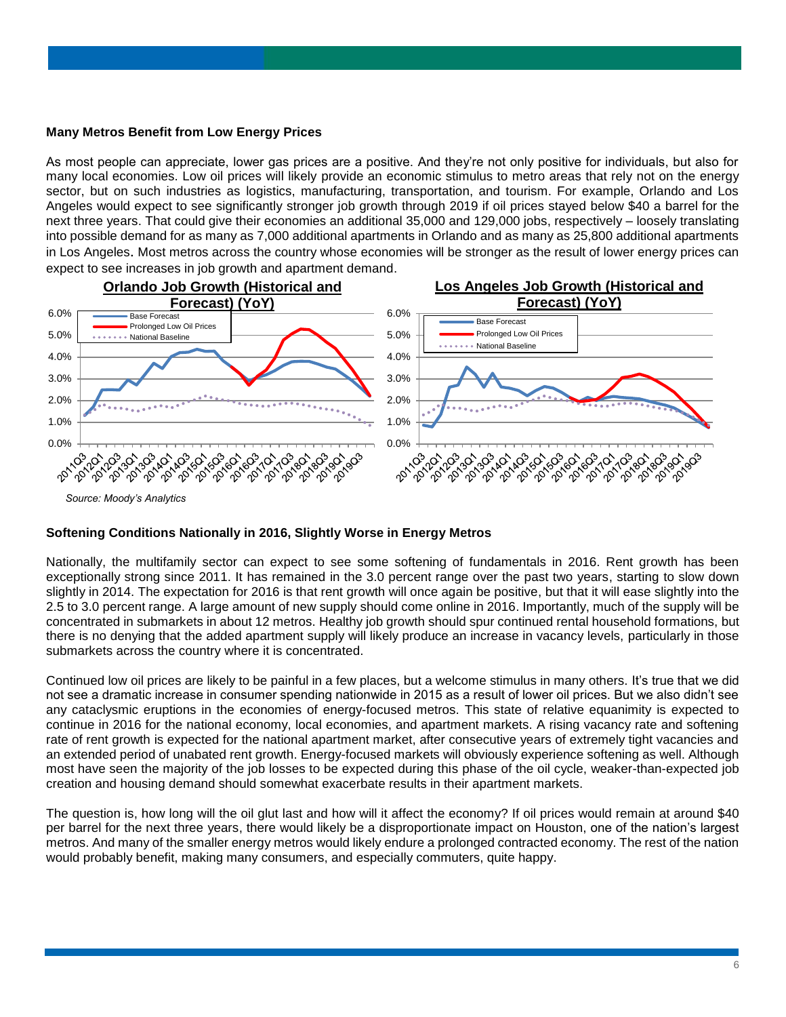#### **Many Metros Benefit from Low Energy Prices**

As most people can appreciate, lower gas prices are a positive. And they're not only positive for individuals, but also for many local economies. Low oil prices will likely provide an economic stimulus to metro areas that rely not on the energy sector, but on such industries as logistics, manufacturing, transportation, and tourism. For example, Orlando and Los Angeles would expect to see significantly stronger job growth through 2019 if oil prices stayed below \$40 a barrel for the next three years. That could give their economies an additional 35,000 and 129,000 jobs, respectively – loosely translating into possible demand for as many as 7,000 additional apartments in Orlando and as many as 25,800 additional apartments in Los Angeles. Most metros across the country whose economies will be stronger as the result of lower energy prices can expect to see increases in job growth and apartment demand.



#### **Softening Conditions Nationally in 2016, Slightly Worse in Energy Metros**

Nationally, the multifamily sector can expect to see some softening of fundamentals in 2016. Rent growth has been exceptionally strong since 2011. It has remained in the 3.0 percent range over the past two years, starting to slow down slightly in 2014. The expectation for 2016 is that rent growth will once again be positive, but that it will ease slightly into the 2.5 to 3.0 percent range. A large amount of new supply should come online in 2016. Importantly, much of the supply will be concentrated in submarkets in about 12 metros. Healthy job growth should spur continued rental household formations, but there is no denying that the added apartment supply will likely produce an increase in vacancy levels, particularly in those submarkets across the country where it is concentrated.

Continued low oil prices are likely to be painful in a few places, but a welcome stimulus in many others. It's true that we did not see a dramatic increase in consumer spending nationwide in 2015 as a result of lower oil prices. But we also didn't see any cataclysmic eruptions in the economies of energy-focused metros. This state of relative equanimity is expected to continue in 2016 for the national economy, local economies, and apartment markets. A rising vacancy rate and softening rate of rent growth is expected for the national apartment market, after consecutive years of extremely tight vacancies and an extended period of unabated rent growth. Energy-focused markets will obviously experience softening as well. Although most have seen the majority of the job losses to be expected during this phase of the oil cycle, weaker-than-expected job creation and housing demand should somewhat exacerbate results in their apartment markets.

The question is, how long will the oil glut last and how will it affect the economy? If oil prices would remain at around \$40 per barrel for the next three years, there would likely be a disproportionate impact on Houston, one of the nation's largest metros. And many of the smaller energy metros would likely endure a prolonged contracted economy. The rest of the nation would probably benefit, making many consumers, and especially commuters, quite happy.